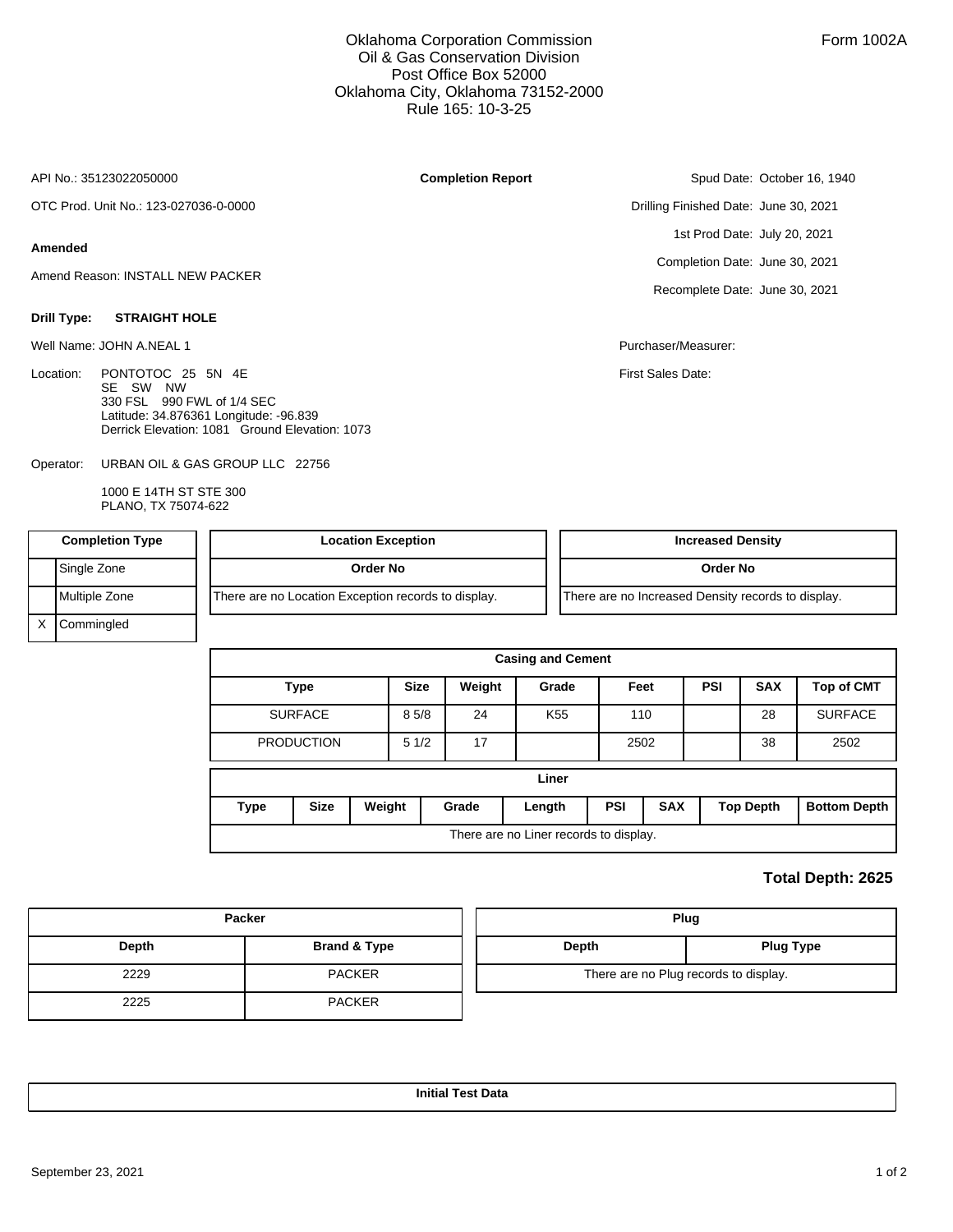### Oklahoma Corporation Commission Oil & Gas Conservation Division Post Office Box 52000 Oklahoma City, Oklahoma 73152-2000 Rule 165: 10-3-25

**Completion Report**

API No.: 35123022050000

OTC Prod. Unit No.: 123-027036-0-0000

#### **Amended**

Amend Reason: INSTALL NEW PACKER

#### **Drill Type: STRAIGHT HOLE**

Well Name: JOHN A.NEAL 1 Purchaser/Measurer:

Location: PONTOTOC 25 5N 4E SE SW NW 330 FSL 990 FWL of 1/4 SEC Latitude: 34.876361 Longitude: -96.839 Derrick Elevation: 1081 Ground Elevation: 1073

URBAN OIL & GAS GROUP LLC 22756 Operator:

> 1000 E 14TH ST STE 300 PLANO, TX 75074-622

Spud Date: October 16, 1940

Drilling Finished Date: June 30, 2021 1st Prod Date: July 20, 2021 Completion Date: June 30, 2021 Recomplete Date: June 30, 2021

First Sales Date:

| <b>Completion Type</b> |               | <b>Location Exception</b>                           | <b>Increased Density</b>                           |
|------------------------|---------------|-----------------------------------------------------|----------------------------------------------------|
|                        | Single Zone   | Order No                                            | Order No                                           |
|                        | Multiple Zone | There are no Location Exception records to display. | There are no Increased Density records to display. |
|                        | Commingled    |                                                     |                                                    |

| <b>Casing and Cement</b>               |                   |        |             |        |                 |                          |      |  |                  |                     |  |
|----------------------------------------|-------------------|--------|-------------|--------|-----------------|--------------------------|------|--|------------------|---------------------|--|
|                                        | <b>Type</b>       |        | <b>Size</b> | Weight | Grade           |                          | Feet |  | <b>SAX</b>       | <b>Top of CMT</b>   |  |
|                                        | <b>SURFACE</b>    |        | 85/8        | 24     | K <sub>55</sub> |                          | 110  |  | 28               | <b>SURFACE</b>      |  |
|                                        | <b>PRODUCTION</b> |        | 51/2        | 17     |                 |                          | 2502 |  | 38               | 2502                |  |
| Liner                                  |                   |        |             |        |                 |                          |      |  |                  |                     |  |
| Type                                   | <b>Size</b>       | Weight |             | Grade  | Length          | <b>PSI</b><br><b>SAX</b> |      |  | <b>Top Depth</b> | <b>Bottom Depth</b> |  |
| There are no Liner records to display. |                   |        |             |        |                 |                          |      |  |                  |                     |  |

## **Total Depth: 2625**

| Packer |               |  | Plug                                  |  |  |  |  |
|--------|---------------|--|---------------------------------------|--|--|--|--|
| Depth  | Brand & Type  |  | Depth<br><b>Plug Type</b>             |  |  |  |  |
| 2229   | <b>PACKER</b> |  | There are no Plug records to display. |  |  |  |  |
| 2225   | <b>PACKER</b> |  |                                       |  |  |  |  |

**Initial Test Data**